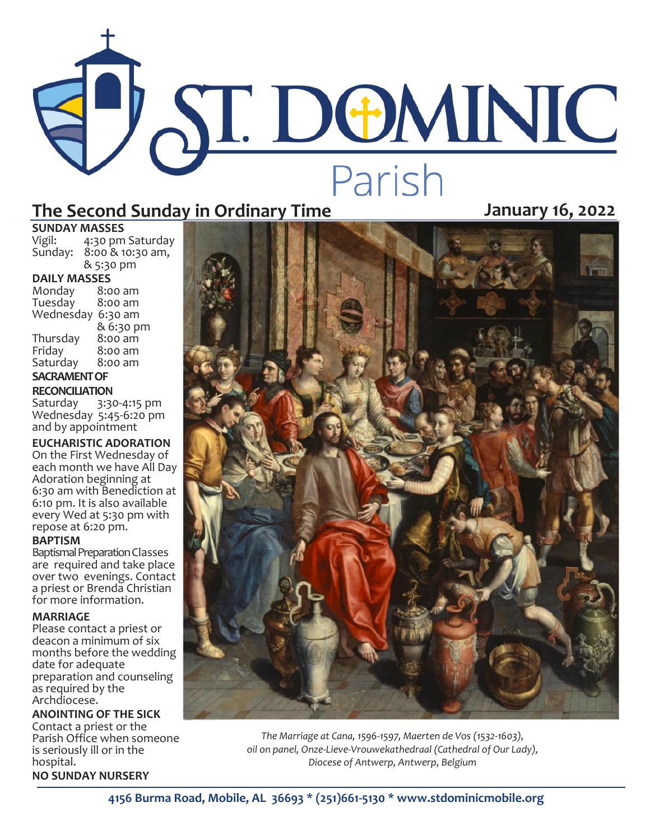# The Second Sunday in Ordinary Time<br>The Second Sunday in Ordinary Time

# **SUNDAY MASSES**<br>Vigil: 4:30 pm

4:30 pm Saturday Sunday: 8:00 & 10:30 am, & 5:30 pm

**DAILY MASSES**  Monday 8:00 am Tuesday Wednesday 6:30 am & 6:30 pm<br>8:00 am Thursday<br>Friday 8:00 am<br>8:00 am Saturday

# **SACRAMENT OF**

**RECONCILIATION**<br>Saturday 3:30

3:30-4:15 pm Wednesday 5:45-6:20 pm and by appointment

**EUCHARISTIC ADORATION**

On the First Wednesday of each month we have All Day Adoration beginning at 6:30 am with Benediction at 6:10 pm. It is also available every Wed at 5:30 pm with repose at 6:20 pm.

## **BAPTISM**

Baptismal Preparation Classes are required and take place over two evenings. Contact a priest or Brenda Christian for more information.

## **MARRIAGE**

Please contact a priest or deacon a minimum of six months before the wedding date for adequate preparation and counseling as required by the Archdiocese.

**ANOINTING OF THE SICK** Contact a priest or the Parish Office when someone is seriously ill or in the hospital. **NO SUNDAY NURSERY**



*The Marriage at Cana, 1596-1597, Maerten de Vos (1532-1603), oil on panel, Onze-Lieve-Vrouwekathedraal (Cathedral of Our Lady), Diocese of Antwerp, Antwerp, Belgium*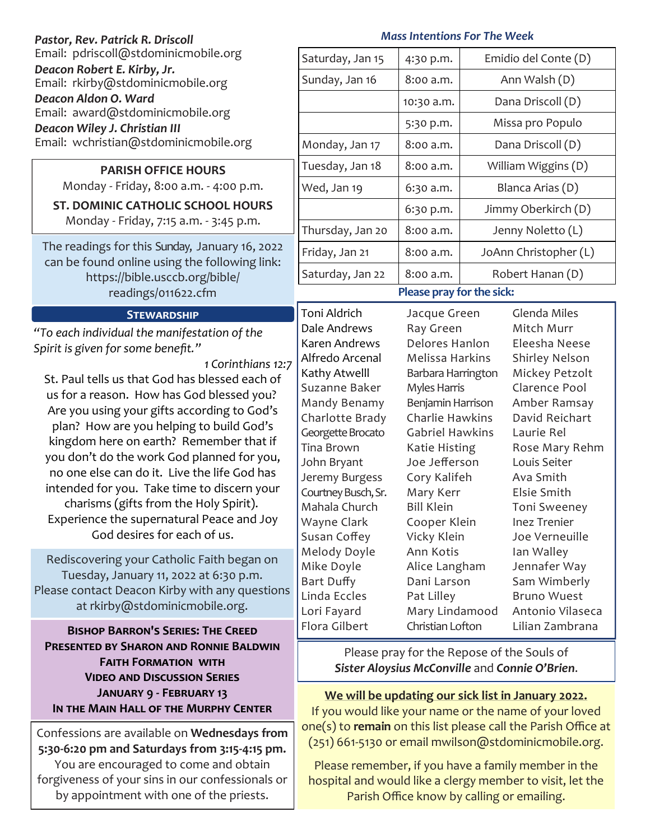| Pastor, Rev. Patrick R. Driscoll                                                                                                                                                                                                                                                                                                                                                                                                                                                                                                                                                                                                                                                                                                                                                 | <b>Mass Intentions For The Week</b>                                                                                                                                                                                                                                                                                                                                                                                                                                                                                                                                                                                                                    |                                                  |                     |                                                                                                                                                                                                                                                                                                                       |  |
|----------------------------------------------------------------------------------------------------------------------------------------------------------------------------------------------------------------------------------------------------------------------------------------------------------------------------------------------------------------------------------------------------------------------------------------------------------------------------------------------------------------------------------------------------------------------------------------------------------------------------------------------------------------------------------------------------------------------------------------------------------------------------------|--------------------------------------------------------------------------------------------------------------------------------------------------------------------------------------------------------------------------------------------------------------------------------------------------------------------------------------------------------------------------------------------------------------------------------------------------------------------------------------------------------------------------------------------------------------------------------------------------------------------------------------------------------|--------------------------------------------------|---------------------|-----------------------------------------------------------------------------------------------------------------------------------------------------------------------------------------------------------------------------------------------------------------------------------------------------------------------|--|
| Email: pdriscoll@stdominicmobile.org                                                                                                                                                                                                                                                                                                                                                                                                                                                                                                                                                                                                                                                                                                                                             | Saturday, Jan 15                                                                                                                                                                                                                                                                                                                                                                                                                                                                                                                                                                                                                                       | 4:30 p.m.                                        |                     | Emidio del Conte (D)                                                                                                                                                                                                                                                                                                  |  |
| Deacon Robert E. Kirby, Jr.<br>Email: rkirby@stdominicmobile.org                                                                                                                                                                                                                                                                                                                                                                                                                                                                                                                                                                                                                                                                                                                 | Sunday, Jan 16                                                                                                                                                                                                                                                                                                                                                                                                                                                                                                                                                                                                                                         | 8:00 a.m.                                        | Ann Walsh (D)       |                                                                                                                                                                                                                                                                                                                       |  |
| Deacon Aldon O. Ward                                                                                                                                                                                                                                                                                                                                                                                                                                                                                                                                                                                                                                                                                                                                                             |                                                                                                                                                                                                                                                                                                                                                                                                                                                                                                                                                                                                                                                        | 10:30 a.m.                                       | Dana Driscoll (D)   |                                                                                                                                                                                                                                                                                                                       |  |
| Email: award@stdominicmobile.org<br>Deacon Wiley J. Christian III                                                                                                                                                                                                                                                                                                                                                                                                                                                                                                                                                                                                                                                                                                                |                                                                                                                                                                                                                                                                                                                                                                                                                                                                                                                                                                                                                                                        | 5:30 p.m.                                        |                     | Missa pro Populo                                                                                                                                                                                                                                                                                                      |  |
| Email: wchristian@stdominicmobile.org                                                                                                                                                                                                                                                                                                                                                                                                                                                                                                                                                                                                                                                                                                                                            | Monday, Jan 17                                                                                                                                                                                                                                                                                                                                                                                                                                                                                                                                                                                                                                         | 8:00 a.m.                                        | Dana Driscoll (D)   |                                                                                                                                                                                                                                                                                                                       |  |
| <b>PARISH OFFICE HOURS</b>                                                                                                                                                                                                                                                                                                                                                                                                                                                                                                                                                                                                                                                                                                                                                       | Tuesday, Jan 18                                                                                                                                                                                                                                                                                                                                                                                                                                                                                                                                                                                                                                        | 8:00 a.m.                                        | William Wiggins (D) |                                                                                                                                                                                                                                                                                                                       |  |
| Monday - Friday, 8:00 a.m. - 4:00 p.m.                                                                                                                                                                                                                                                                                                                                                                                                                                                                                                                                                                                                                                                                                                                                           | Wed, Jan 19                                                                                                                                                                                                                                                                                                                                                                                                                                                                                                                                                                                                                                            | 6:30 a.m.                                        | Blanca Arias (D)    |                                                                                                                                                                                                                                                                                                                       |  |
| <b>ST. DOMINIC CATHOLIC SCHOOL HOURS</b><br>Monday - Friday, 7:15 a.m. - 3:45 p.m.                                                                                                                                                                                                                                                                                                                                                                                                                                                                                                                                                                                                                                                                                               |                                                                                                                                                                                                                                                                                                                                                                                                                                                                                                                                                                                                                                                        | 6:30 p.m.                                        | Jimmy Oberkirch (D) |                                                                                                                                                                                                                                                                                                                       |  |
|                                                                                                                                                                                                                                                                                                                                                                                                                                                                                                                                                                                                                                                                                                                                                                                  | Thursday, Jan 20                                                                                                                                                                                                                                                                                                                                                                                                                                                                                                                                                                                                                                       | 8:00 a.m.                                        | Jenny Noletto (L)   |                                                                                                                                                                                                                                                                                                                       |  |
| The readings for this Sunday, January 16, 2022<br>can be found online using the following link:<br>https://bible.usccb.org/bible/                                                                                                                                                                                                                                                                                                                                                                                                                                                                                                                                                                                                                                                | Friday, Jan 21                                                                                                                                                                                                                                                                                                                                                                                                                                                                                                                                                                                                                                         | 8:00 a.m.                                        |                     | JoAnn Christopher (L)                                                                                                                                                                                                                                                                                                 |  |
|                                                                                                                                                                                                                                                                                                                                                                                                                                                                                                                                                                                                                                                                                                                                                                                  | Saturday, Jan 22                                                                                                                                                                                                                                                                                                                                                                                                                                                                                                                                                                                                                                       | 8:00 a.m.                                        |                     | Robert Hanan (D)                                                                                                                                                                                                                                                                                                      |  |
| readings/011622.cfm                                                                                                                                                                                                                                                                                                                                                                                                                                                                                                                                                                                                                                                                                                                                                              | Please pray for the sick:                                                                                                                                                                                                                                                                                                                                                                                                                                                                                                                                                                                                                              |                                                  |                     |                                                                                                                                                                                                                                                                                                                       |  |
| <b>STEWARDSHIP</b><br>"To each individual the manifestation of the<br>Spirit is given for some benefit."<br>1 Corinthians 12:7<br>St. Paul tells us that God has blessed each of<br>us for a reason. How has God blessed you?<br>Are you using your gifts according to God's<br>plan? How are you helping to build God's<br>kingdom here on earth? Remember that if<br>you don't do the work God planned for you,<br>no one else can do it. Live the life God has<br>intended for you. Take time to discern your<br>charisms (gifts from the Holy Spirit).<br>Experience the supernatural Peace and Joy<br>God desires for each of us.<br>Rediscovering your Catholic Faith began on<br>Tuesday, January 11, 2022 at 6:30 p.m.<br>Please contact Deacon Kirby with any questions | Toni Aldrich<br>Dale Andrews<br>Ray Green<br>Delores Hanlon<br>Karen Andrews<br>Melissa Harkins<br>Alfredo Arcenal<br>Kathy Atwelll<br>Barbara Harrington<br>Suzanne Baker<br>Myles Harris<br>Benjamin Harrison<br>Mandy Benamy<br>Charlotte Brady<br>Charlie Hawkins<br>Georgette Brocato<br><b>Gabriel Hawkins</b><br>Tina Brown<br>Katie Histing<br>John Bryant<br>Joe Jefferson<br>Jeremy Burgess<br>Cory Kalifeh<br>Courtney Busch, Sr.<br>Mary Kerr<br><b>Bill Klein</b><br>Mahala Church<br>Wayne Clark<br>Cooper Klein<br>Susan Coffey<br>Vicky Klein<br>Melody Doyle<br>Ann Kotis<br>Mike Doyle<br>Alice Langham<br>Bart Duffy<br>Dani Larson |                                                  | Jacque Green        | Glenda Miles<br>Mitch Murr<br>Eleesha Neese<br>Shirley Nelson<br>Mickey Petzolt<br>Clarence Pool<br>Amber Ramsay<br>David Reichart<br>Laurie Rel<br>Rose Mary Rehm<br>Louis Seiter<br>Ava Smith<br>Elsie Smith<br>Toni Sweeney<br><b>Inez Trenier</b><br>Joe Verneuille<br>Ian Walley<br>Jennafer Way<br>Sam Wimberly |  |
| at rkirby@stdominicmobile.org.<br><b>BISHOP BARRON'S SERIES: THE CREED</b>                                                                                                                                                                                                                                                                                                                                                                                                                                                                                                                                                                                                                                                                                                       | Linda Eccles<br>Lori Fayard<br>Flora Gilbert                                                                                                                                                                                                                                                                                                                                                                                                                                                                                                                                                                                                           | Pat Lilley<br>Mary Lindamood<br>Christian Lofton |                     | <b>Bruno Wuest</b><br>Antonio Vilaseca<br>Lilian Zambrana                                                                                                                                                                                                                                                             |  |
| PRESENTED BY SHARON AND RONNIE BALDWIN<br><b>FAITH FORMATION WITH</b><br><b>VIDEO AND DISCUSSION SERIES</b><br><b>JANUARY 9 - FEBRUARY 13</b>                                                                                                                                                                                                                                                                                                                                                                                                                                                                                                                                                                                                                                    | Please pray for the Repose of the Souls of<br>Sister Aloysius McConville and Connie O'Brien.<br>We will be updating our sick list in January 2022.                                                                                                                                                                                                                                                                                                                                                                                                                                                                                                     |                                                  |                     |                                                                                                                                                                                                                                                                                                                       |  |
| IN THE MAIN HALL OF THE MURPHY CENTER<br>Confessions are available on Wednesdays from<br>5:30-6:20 pm and Saturdays from 3:15-4:15 pm.<br>You are encouraged to come and obtain<br>forgiveness of your sins in our confessionals or                                                                                                                                                                                                                                                                                                                                                                                                                                                                                                                                              | If you would like your name or the name of your loved<br>one(s) to remain on this list please call the Parish Office at<br>(251) 661-5130 or email mwilson@stdominicmobile.org.<br>Please remember, if you have a family member in the<br>hospital and would like a clergy member to visit, let the                                                                                                                                                                                                                                                                                                                                                    |                                                  |                     |                                                                                                                                                                                                                                                                                                                       |  |

by appointment with one of the priests.

Parish Office know by calling or emailing.